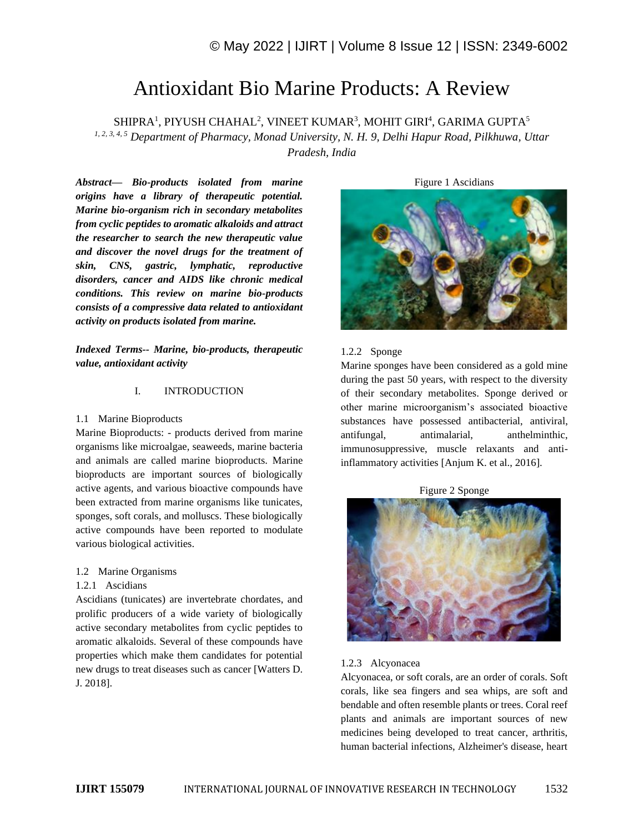# Antioxidant Bio Marine Products: A Review

 $\rm SHIPRA^{1},$  PIYUSH CHAHAL $^{2}$ , VINEET KUMAR $^{3}$ , MOHIT GIRI $^{4}$ , GARIMA GUPTA $^{5}$ *1, 2, 3, 4, 5 Department of Pharmacy, Monad University, N. H. 9, Delhi Hapur Road, Pilkhuwa, Uttar Pradesh, India*

*Abstract— Bio-products isolated from marine origins have a library of therapeutic potential. Marine bio-organism rich in secondary metabolites from cyclic peptides to aromatic alkaloids and attract the researcher to search the new therapeutic value and discover the novel drugs for the treatment of skin, CNS, gastric, lymphatic, reproductive disorders, cancer and AIDS like chronic medical conditions. This review on marine bio-products consists of a compressive data related to antioxidant activity on products isolated from marine.*

*Indexed Terms-- Marine, bio-products, therapeutic value, antioxidant activity*

## I. INTRODUCTION

#### 1.1 Marine Bioproducts

Marine Bioproducts: - products derived from marine organisms like microalgae, seaweeds, marine bacteria and animals are called marine bioproducts. Marine bioproducts are important sources of biologically active agents, and various bioactive compounds have been extracted from marine organisms like tunicates, sponges, soft corals, and molluscs. These biologically active compounds have been reported to modulate various biological activities.

#### 1.2 Marine Organisms

#### 1.2.1 Ascidians

Ascidians (tunicates) are invertebrate chordates, and prolific producers of a wide variety of biologically active secondary metabolites from cyclic peptides to aromatic alkaloids. Several of these compounds have properties which make them candidates for potential new drugs to treat diseases such as cancer [Watters D. J. 2018].

Figure 1 Ascidians



#### 1.2.2 Sponge

Marine sponges have been considered as a gold mine during the past 50 years, with respect to the diversity of their secondary metabolites. Sponge derived or other marine microorganism's associated bioactive substances have possessed antibacterial, antiviral, antifungal, antimalarial, anthelminthic, immunosuppressive, muscle relaxants and antiinflammatory activities [Anjum K. et al., 2016].





#### 1.2.3 Alcyonacea

Alcyonacea, or soft corals, are an order of corals. Soft corals, like sea fingers and sea whips, are soft and bendable and often resemble plants or trees. Coral reef plants and animals are important sources of new medicines being developed to treat cancer, arthritis, human bacterial infections, Alzheimer's disease, heart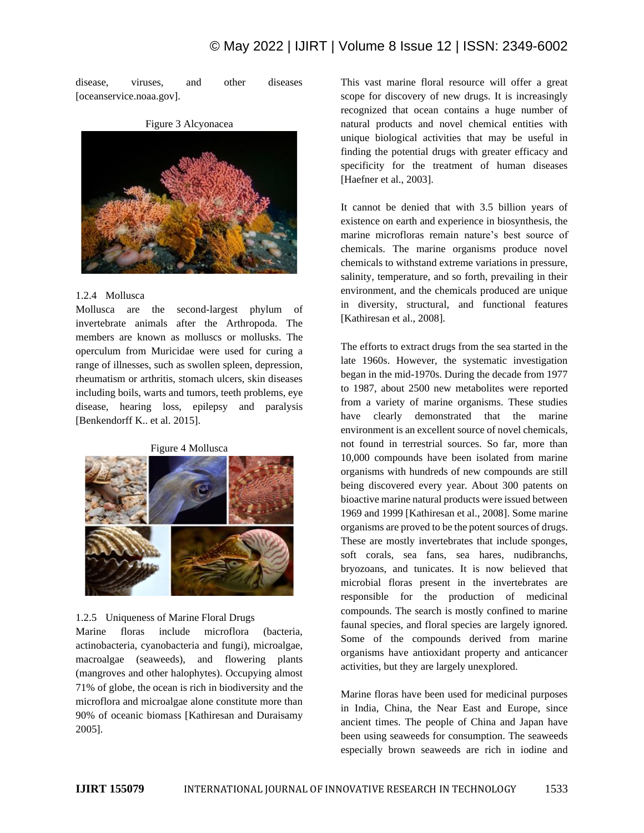# © May 2022 | IJIRT | Volume 8 Issue 12 | ISSN: 2349-6002

disease, viruses, and other diseases [oceanservice.noaa.gov].



## Figure 3 Alcyonacea

# 1.2.4 Mollusca

Mollusca are the second-largest phylum of invertebrate animals after the Arthropoda. The members are known as molluscs or mollusks. The operculum from Muricidae were used for curing a range of illnesses, such as swollen spleen, depression, rheumatism or arthritis, stomach ulcers, skin diseases including boils, warts and tumors, teeth problems, eye disease, hearing loss, epilepsy and paralysis [Benkendorff K.. et al. 2015].





# 1.2.5 Uniqueness of Marine Floral Drugs

Marine floras include microflora (bacteria, actinobacteria, cyanobacteria and fungi), microalgae, macroalgae (seaweeds), and flowering plants (mangroves and other halophytes). Occupying almost 71% of globe, the ocean is rich in biodiversity and the microflora and microalgae alone constitute more than 90% of oceanic biomass [Kathiresan and Duraisamy 2005].

This vast marine floral resource will offer a great scope for discovery of new drugs. It is increasingly recognized that ocean contains a huge number of natural products and novel chemical entities with unique biological activities that may be useful in finding the potential drugs with greater efficacy and specificity for the treatment of human diseases [Haefner et al., 2003].

It cannot be denied that with 3.5 billion years of existence on earth and experience in biosynthesis, the marine microfloras remain nature's best source of chemicals. The marine organisms produce novel chemicals to withstand extreme variations in pressure, salinity, temperature, and so forth, prevailing in their environment, and the chemicals produced are unique in diversity, structural, and functional features [Kathiresan et al., 2008].

The efforts to extract drugs from the sea started in the late 1960s. However, the systematic investigation began in the mid-1970s. During the decade from 1977 to 1987, about 2500 new metabolites were reported from a variety of marine organisms. These studies have clearly demonstrated that the marine environment is an excellent source of novel chemicals, not found in terrestrial sources. So far, more than 10,000 compounds have been isolated from marine organisms with hundreds of new compounds are still being discovered every year. About 300 patents on bioactive marine natural products were issued between 1969 and 1999 [Kathiresan et al., 2008]. Some marine organisms are proved to be the potent sources of drugs. These are mostly invertebrates that include sponges, soft corals, sea fans, sea hares, nudibranchs, bryozoans, and tunicates. It is now believed that microbial floras present in the invertebrates are responsible for the production of medicinal compounds. The search is mostly confined to marine faunal species, and floral species are largely ignored. Some of the compounds derived from marine organisms have antioxidant property and anticancer activities, but they are largely unexplored.

Marine floras have been used for medicinal purposes in India, China, the Near East and Europe, since ancient times. The people of China and Japan have been using seaweeds for consumption. The seaweeds especially brown seaweeds are rich in iodine and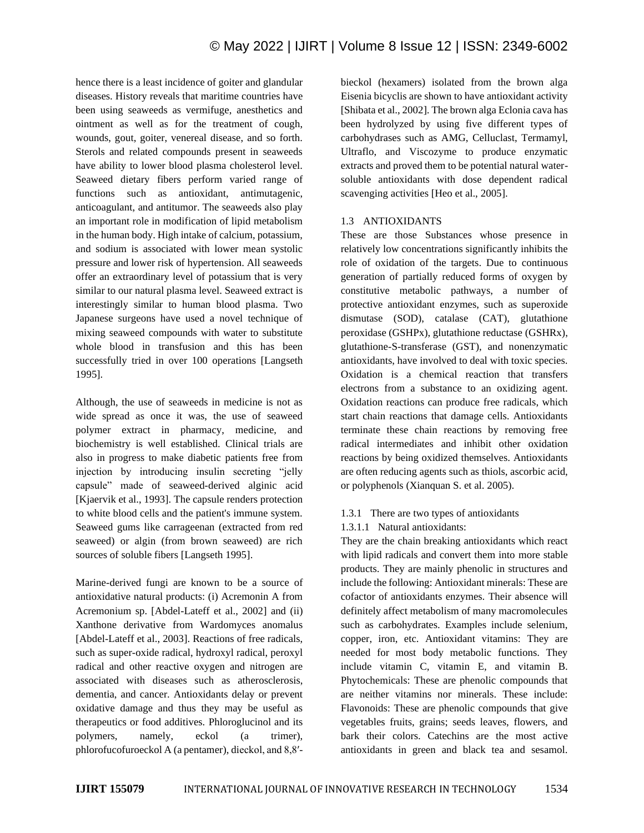hence there is a least incidence of goiter and glandular diseases. History reveals that maritime countries have been using seaweeds as vermifuge, anesthetics and ointment as well as for the treatment of cough, wounds, gout, goiter, venereal disease, and so forth. Sterols and related compounds present in seaweeds have ability to lower blood plasma cholesterol level. Seaweed dietary fibers perform varied range of functions such as antioxidant, antimutagenic, anticoagulant, and antitumor. The seaweeds also play an important role in modification of lipid metabolism in the human body. High intake of calcium, potassium, and sodium is associated with lower mean systolic pressure and lower risk of hypertension. All seaweeds offer an extraordinary level of potassium that is very similar to our natural plasma level. Seaweed extract is interestingly similar to human blood plasma. Two Japanese surgeons have used a novel technique of mixing seaweed compounds with water to substitute whole blood in transfusion and this has been successfully tried in over 100 operations [Langseth 1995].

Although, the use of seaweeds in medicine is not as wide spread as once it was, the use of seaweed polymer extract in pharmacy, medicine, and biochemistry is well established. Clinical trials are also in progress to make diabetic patients free from injection by introducing insulin secreting "jelly capsule" made of seaweed-derived alginic acid [Kjaervik et al., 1993]. The capsule renders protection to white blood cells and the patient's immune system. Seaweed gums like carrageenan (extracted from red seaweed) or algin (from brown seaweed) are rich sources of soluble fibers [Langseth 1995].

Marine-derived fungi are known to be a source of antioxidative natural products: (i) Acremonin A from Acremonium sp. [Abdel-Lateff et al., 2002] and (ii) Xanthone derivative from Wardomyces anomalus [Abdel-Lateff et al., 2003]. Reactions of free radicals, such as super-oxide radical, hydroxyl radical, peroxyl radical and other reactive oxygen and nitrogen are associated with diseases such as atherosclerosis, dementia, and cancer. Antioxidants delay or prevent oxidative damage and thus they may be useful as therapeutics or food additives. Phloroglucinol and its polymers, namely, eckol (a trimer), phlorofucofuroeckol A (a pentamer), dieckol, and 8,8′- bieckol (hexamers) isolated from the brown alga Eisenia bicyclis are shown to have antioxidant activity [Shibata et al., 2002]. The brown alga Eclonia cava has been hydrolyzed by using five different types of carbohydrases such as AMG, Celluclast, Termamyl, Ultraflo, and Viscozyme to produce enzymatic extracts and proved them to be potential natural watersoluble antioxidants with dose dependent radical scavenging activities [Heo et al., 2005].

# 1.3 ANTIOXIDANTS

These are those Substances whose presence in relatively low concentrations significantly inhibits the role of oxidation of the targets. Due to continuous generation of partially reduced forms of oxygen by constitutive metabolic pathways, a number of protective antioxidant enzymes, such as superoxide dismutase (SOD), catalase (CAT), glutathione peroxidase (GSHPx), glutathione reductase (GSHRx), glutathione-S-transferase (GST), and nonenzymatic antioxidants, have involved to deal with toxic species. Oxidation is a chemical reaction that transfers electrons from a substance to an oxidizing agent. Oxidation reactions can produce free radicals, which start chain reactions that damage cells. Antioxidants terminate these chain reactions by removing free radical intermediates and inhibit other oxidation reactions by being oxidized themselves. Antioxidants are often reducing agents such as thiols, ascorbic acid, or polyphenols (Xianquan S. et al. 2005).

# 1.3.1 There are two types of antioxidants

# 1.3.1.1 Natural antioxidants:

They are the chain breaking antioxidants which react with lipid radicals and convert them into more stable products. They are mainly phenolic in structures and include the following: Antioxidant minerals: These are cofactor of antioxidants enzymes. Their absence will definitely affect metabolism of many macromolecules such as carbohydrates. Examples include selenium, copper, iron, etc. Antioxidant vitamins: They are needed for most body metabolic functions. They include vitamin C, vitamin E, and vitamin B. Phytochemicals: These are phenolic compounds that are neither vitamins nor minerals. These include: Flavonoids: These are phenolic compounds that give vegetables fruits, grains; seeds leaves, flowers, and bark their colors. Catechins are the most active antioxidants in green and black tea and sesamol.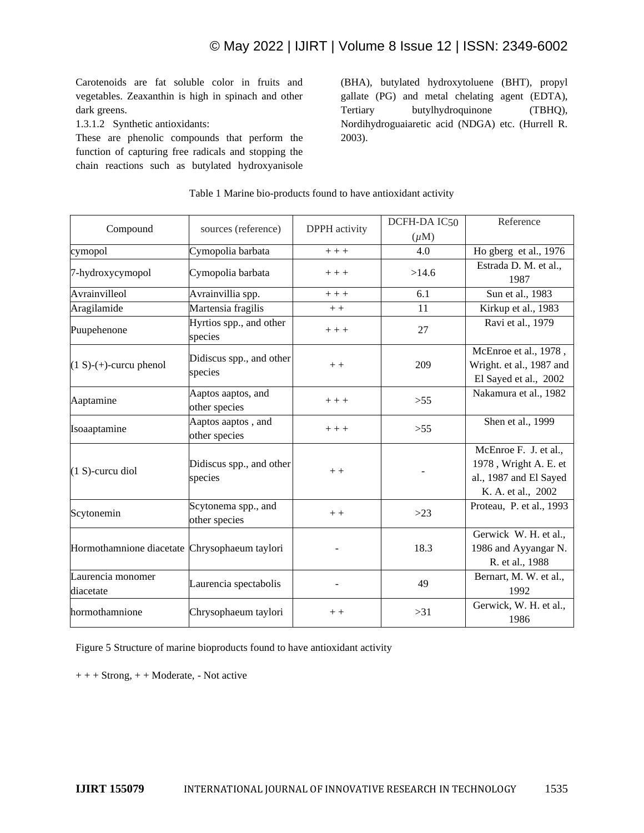Carotenoids are fat soluble color in fruits and vegetables. Zeaxanthin is high in spinach and other dark greens.

1.3.1.2 Synthetic antioxidants:

These are phenolic compounds that perform the function of capturing free radicals and stopping the chain reactions such as butylated hydroxyanisole

(BHA), butylated hydroxytoluene (BHT), propyl gallate (PG) and metal chelating agent (EDTA), Tertiary butylhydroquinone (TBHQ), Nordihydroguaiaretic acid (NDGA) etc. (Hurrell R. 2003).

| Compound                                      | sources (reference)                  | DPPH activity | DCFH-DA IC50 | Reference                                                                                      |
|-----------------------------------------------|--------------------------------------|---------------|--------------|------------------------------------------------------------------------------------------------|
|                                               |                                      |               | $(\mu M)$    |                                                                                                |
| cymopol                                       | Cymopolia barbata                    | $+++$         | 4.0          | Ho gberg et al., 1976                                                                          |
| 7-hydroxycymopol                              | Cymopolia barbata                    | $++ +$        | >14.6        | Estrada D. M. et al.,<br>1987                                                                  |
| Avrainvilleol                                 | Avrainvillia spp.                    | $+++$         | 6.1          | Sun et al., 1983                                                                               |
| Aragilamide                                   | Martensia fragilis                   | $++$          | 11           | Kirkup et al., 1983                                                                            |
| Puupehenone                                   | Hyrtios spp., and other<br>species   | $++ +$        | 27           | Ravi et al., 1979                                                                              |
| $(1 S)-(+)$ -curcu phenol                     | Didiscus spp., and other<br>species  | $++$          | 209          | McEnroe et al., 1978,<br>Wright. et al., 1987 and<br>El Sayed et al., 2002                     |
| Aaptamine                                     | Aaptos aaptos, and<br>other species  | $+++$         | >55          | Nakamura et al., 1982                                                                          |
| Isoaaptamine                                  | Aaptos aaptos, and<br>other species  | $+++$         | >55          | Shen et al., 1999                                                                              |
| $(1 S)$ -curcu diol                           | Didiscus spp., and other<br>species  | $+ +$         |              | McEnroe F. J. et al.,<br>1978, Wright A. E. et<br>al., 1987 and El Sayed<br>K. A. et al., 2002 |
| Scytonemin                                    | Scytonema spp., and<br>other species | $++$          | $>23$        | Proteau, P. et al., 1993                                                                       |
| Hormothamnione diacetate Chrysophaeum taylori |                                      |               | 18.3         | Gerwick W. H. et al.,<br>1986 and Ayyangar N.<br>R. et al., 1988                               |
| Laurencia monomer<br>diacetate                | Laurencia spectabolis                |               | 49           | Bernart, M. W. et al.,<br>1992                                                                 |
| hormothamnione                                | Chrysophaeum taylori                 | $+ +$         | $>31$        | Gerwick, W. H. et al.,<br>1986                                                                 |

## Table 1 Marine bio-products found to have antioxidant activity

Figure 5 Structure of marine bioproducts found to have antioxidant activity

 $++ +$  Strong,  $++$  Moderate, - Not active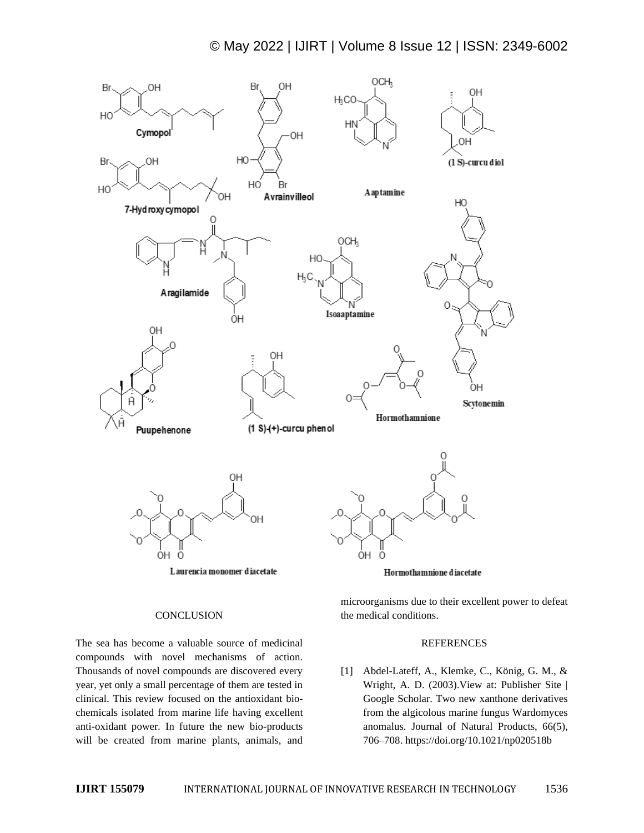# © May 2022 | IJIRT | Volume 8 Issue 12 | ISSN: 2349-6002



#### **CONCLUSION**

The sea has become a valuable source of medicinal compounds with novel mechanisms of action. Thousands of novel compounds are discovered every year, yet only a small percentage of them are tested in clinical. This review focused on the antioxidant biochemicals isolated from marine life having excellent anti-oxidant power. In future the new bio-products will be created from marine plants, animals, and

microorganisms due to their excellent power to defeat the medical conditions.

#### REFERENCES

[1] Abdel-Lateff, A., Klemke, C., König, G. M., & Wright, A. D. (2003).View at: Publisher Site | Google Scholar. Two new xanthone derivatives from the algicolous marine fungus Wardomyces anomalus. Journal of Natural Products, 66(5), 706–708. https://doi.org/10.1021/np020518b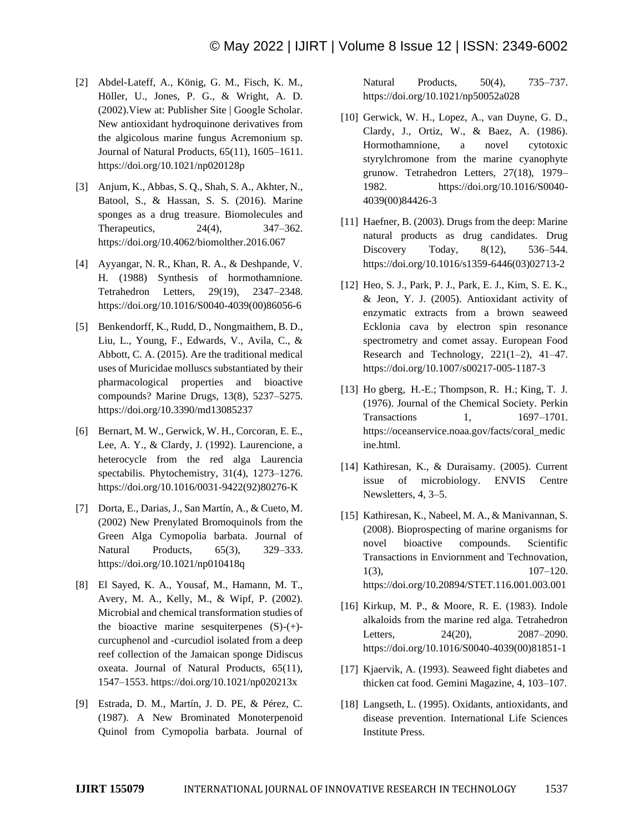- [2] Abdel-Lateff, A., König, G. M., Fisch, K. M., Höller, U., Jones, P. G., & Wright, A. D. (2002).View at: Publisher Site | Google Scholar. New antioxidant hydroquinone derivatives from the algicolous marine fungus Acremonium sp. Journal of Natural Products, 65(11), 1605–1611. https://doi.org/10.1021/np020128p
- [3] Anjum, K., Abbas, S. Q., Shah, S. A., Akhter, N., Batool, S., & Hassan, S. S. (2016). Marine sponges as a drug treasure. Biomolecules and Therapeutics, 24(4), 347–362. https://doi.org/10.4062/biomolther.2016.067
- [4] Ayyangar, N. R., Khan, R. A., & Deshpande, V. H. (1988) Synthesis of hormothamnione. Tetrahedron Letters, 29(19), 2347–2348. https://doi.org/10.1016/S0040-4039(00)86056-6
- [5] Benkendorff, K., Rudd, D., Nongmaithem, B. D., Liu, L., Young, F., Edwards, V., Avila, C., & Abbott, C. A. (2015). Are the traditional medical uses of Muricidae molluscs substantiated by their pharmacological properties and bioactive compounds? Marine Drugs, 13(8), 5237–5275. https://doi.org/10.3390/md13085237
- [6] Bernart, M. W., Gerwick, W. H., Corcoran, E. E., Lee, A. Y., & Clardy, J. (1992). Laurencione, a heterocycle from the red alga Laurencia spectabilis. Phytochemistry, 31(4), 1273–1276. https://doi.org/10.1016/0031-9422(92)80276-K
- [7] Dorta, E., Darias, J., San Martín, A., & Cueto, M. (2002) New Prenylated Bromoquinols from the Green Alga Cymopolia barbata. Journal of Natural Products, 65(3), 329–333. https://doi.org/10.1021/np010418q
- [8] El Sayed, K. A., Yousaf, M., Hamann, M. T., Avery, M. A., Kelly, M., & Wipf, P. (2002). Microbial and chemical transformation studies of the bioactive marine sesquiterpenes  $(S)-(+)$ curcuphenol and -curcudiol isolated from a deep reef collection of the Jamaican sponge Didiscus oxeata. Journal of Natural Products, 65(11), 1547–1553. https://doi.org/10.1021/np020213x
- [9] Estrada, D. M., Martín, J. D. PE, & Pérez, C. (1987). A New Brominated Monoterpenoid Quinol from Cymopolia barbata. Journal of

Natural Products, 50(4), 735–737. https://doi.org/10.1021/np50052a028

- [10] Gerwick, W. H., Lopez, A., van Duyne, G. D., Clardy, J., Ortiz, W., & Baez, A. (1986). Hormothamnione, a novel cytotoxic styrylchromone from the marine cyanophyte grunow. Tetrahedron Letters, 27(18), 1979– 1982. https://doi.org/10.1016/S0040- 4039(00)84426-3
- [11] Haefner, B. (2003). Drugs from the deep: Marine natural products as drug candidates. Drug Discovery Today, 8(12), 536–544. https://doi.org/10.1016/s1359-6446(03)02713-2
- [12] Heo, S. J., Park, P. J., Park, E. J., Kim, S. E. K., & Jeon, Y. J. (2005). Antioxidant activity of enzymatic extracts from a brown seaweed Ecklonia cava by electron spin resonance spectrometry and comet assay. European Food Research and Technology,  $221(1-2)$ ,  $41-47$ . https://doi.org/10.1007/s00217-005-1187-3
- [13] Ho gberg, H.-E.; Thompson, R. H.; King, T. J. (1976). Journal of the Chemical Society. Perkin Transactions 1, 1697–1701. https://oceanservice.noaa.gov/facts/coral\_medic ine.html.
- [14] Kathiresan, K., & Duraisamy. (2005). Current issue of microbiology. ENVIS Centre Newsletters, 4, 3–5.
- [15] Kathiresan, K., Nabeel, M. A., & Manivannan, S. (2008). Bioprospecting of marine organisms for novel bioactive compounds. Scientific Transactions in Enviornment and Technovation, 1(3), 107–120. https://doi.org/10.20894/STET.116.001.003.001
- [16] Kirkup, M. P., & Moore, R. E. (1983). Indole alkaloids from the marine red alga. Tetrahedron Letters, 24(20), 2087–2090. https://doi.org/10.1016/S0040-4039(00)81851-1
- [17] Kjaervik, A. (1993). Seaweed fight diabetes and thicken cat food. Gemini Magazine, 4, 103–107.
- [18] Langseth, L. (1995). Oxidants, antioxidants, and disease prevention. International Life Sciences Institute Press.